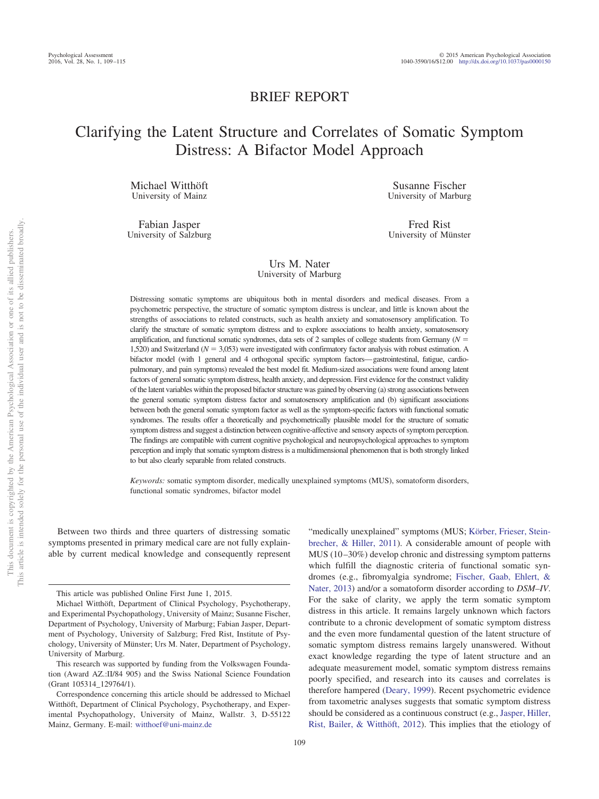# BRIEF REPORT

# Clarifying the Latent Structure and Correlates of Somatic Symptom Distress: A Bifactor Model Approach

Michael Witthöft University of Mainz

Fabian Jasper University of Salzburg

Susanne Fischer University of Marburg

Fred Rist University of Münster

# Urs M. Nater University of Marburg

Distressing somatic symptoms are ubiquitous both in mental disorders and medical diseases. From a psychometric perspective, the structure of somatic symptom distress is unclear, and little is known about the strengths of associations to related constructs, such as health anxiety and somatosensory amplification. To clarify the structure of somatic symptom distress and to explore associations to health anxiety, somatosensory amplification, and functional somatic syndromes, data sets of 2 samples of college students from Germany  $(N =$ 1,520) and Switzerland ( $N = 3,053$ ) were investigated with confirmatory factor analysis with robust estimation. A bifactor model (with 1 general and 4 orthogonal specific symptom factors—gastrointestinal, fatigue, cardiopulmonary, and pain symptoms) revealed the best model fit. Medium-sized associations were found among latent factors of general somatic symptom distress, health anxiety, and depression. First evidence for the construct validity of the latent variables within the proposed bifactor structure was gained by observing (a) strong associations between the general somatic symptom distress factor and somatosensory amplification and (b) significant associations between both the general somatic symptom factor as well as the symptom-specific factors with functional somatic syndromes. The results offer a theoretically and psychometrically plausible model for the structure of somatic symptom distress and suggest a distinction between cognitive-affective and sensory aspects of symptom perception. The findings are compatible with current cognitive psychological and neuropsychological approaches to symptom perception and imply that somatic symptom distress is a multidimensional phenomenon that is both strongly linked to but also clearly separable from related constructs.

*Keywords:* somatic symptom disorder, medically unexplained symptoms (MUS), somatoform disorders, functional somatic syndromes, bifactor model

Between two thirds and three quarters of distressing somatic symptoms presented in primary medical care are not fully explainable by current medical knowledge and consequently represent

"medically unexplained" symptoms (MUS; [Körber, Frieser, Stein](#page-5-0)[brecher, & Hiller, 2011\)](#page-5-0). A considerable amount of people with MUS (10 –30%) develop chronic and distressing symptom patterns which fulfill the diagnostic criteria of functional somatic syndromes (e.g., fibromyalgia syndrome; [Fischer, Gaab, Ehlert, &](#page-5-1) [Nater, 2013\)](#page-5-1) and/or a somatoform disorder according to *DSM–IV*. For the sake of clarity, we apply the term somatic symptom distress in this article. It remains largely unknown which factors contribute to a chronic development of somatic symptom distress and the even more fundamental question of the latent structure of somatic symptom distress remains largely unanswered. Without exact knowledge regarding the type of latent structure and an adequate measurement model, somatic symptom distress remains poorly specified, and research into its causes and correlates is therefore hampered [\(Deary, 1999\)](#page-5-2). Recent psychometric evidence from taxometric analyses suggests that somatic symptom distress should be considered as a continuous construct (e.g., [Jasper, Hiller,](#page-5-3) [Rist, Bailer, & Witthöft, 2012\)](#page-5-3). This implies that the etiology of

This article was published Online First June 1, 2015.

Michael Witthöft, Department of Clinical Psychology, Psychotherapy, and Experimental Psychopathology, University of Mainz; Susanne Fischer, Department of Psychology, University of Marburg; Fabian Jasper, Department of Psychology, University of Salzburg; Fred Rist, Institute of Psychology, University of Münster; Urs M. Nater, Department of Psychology, University of Marburg.

This research was supported by funding from the Volkswagen Foundation (Award AZ.:II/84 905) and the Swiss National Science Foundation (Grant 105314\_129764/1).

Correspondence concerning this article should be addressed to Michael Witthöft, Department of Clinical Psychology, Psychotherapy, and Experimental Psychopathology, University of Mainz, Wallstr. 3, D-55122 Mainz, Germany. E-mail: [witthoef@uni-mainz.de](mailto:witthoef@uni-mainz.de)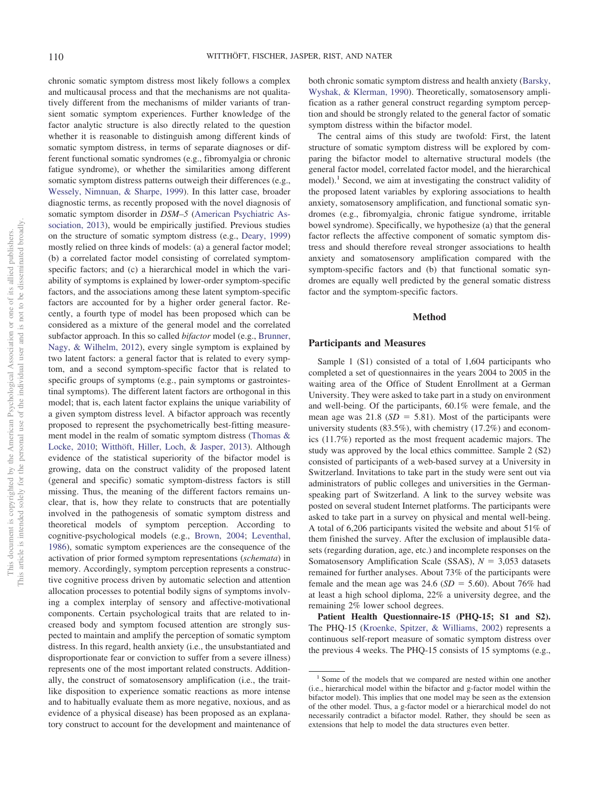chronic somatic symptom distress most likely follows a complex and multicausal process and that the mechanisms are not qualitatively different from the mechanisms of milder variants of transient somatic symptom experiences. Further knowledge of the factor analytic structure is also directly related to the question whether it is reasonable to distinguish among different kinds of somatic symptom distress, in terms of separate diagnoses or different functional somatic syndromes (e.g., fibromyalgia or chronic fatigue syndrome), or whether the similarities among different somatic symptom distress patterns outweigh their differences (e.g., [Wessely, Nimnuan, & Sharpe, 1999\)](#page-6-0). In this latter case, broader diagnostic terms, as recently proposed with the novel diagnosis of somatic symptom disorder in *DSM–5* [\(American Psychiatric As](#page-5-4)[sociation, 2013\)](#page-5-4), would be empirically justified. Previous studies on the structure of somatic symptom distress (e.g., [Deary, 1999\)](#page-5-2) mostly relied on three kinds of models: (a) a general factor model; (b) a correlated factor model consisting of correlated symptomspecific factors; and (c) a hierarchical model in which the variability of symptoms is explained by lower-order symptom-specific factors, and the associations among these latent symptom-specific factors are accounted for by a higher order general factor. Recently, a fourth type of model has been proposed which can be considered as a mixture of the general model and the correlated subfactor approach. In this so called *bifactor* model (e.g., [Brunner,](#page-5-5) [Nagy, & Wilhelm, 2012\)](#page-5-5), every single symptom is explained by two latent factors: a general factor that is related to every symptom, and a second symptom-specific factor that is related to specific groups of symptoms (e.g., pain symptoms or gastrointestinal symptoms). The different latent factors are orthogonal in this model; that is, each latent factor explains the unique variability of a given symptom distress level. A bifactor approach was recently proposed to represent the psychometrically best-fitting measurement model in the realm of somatic symptom distress [\(Thomas &](#page-6-1) [Locke, 2010;](#page-6-1) [Witthöft, Hiller, Loch, & Jasper, 2013\)](#page-6-2). Although evidence of the statistical superiority of the bifactor model is growing, data on the construct validity of the proposed latent (general and specific) somatic symptom-distress factors is still missing. Thus, the meaning of the different factors remains unclear, that is, how they relate to constructs that are potentially involved in the pathogenesis of somatic symptom distress and theoretical models of symptom perception. According to cognitive-psychological models (e.g., [Brown, 2004;](#page-5-6) [Leventhal,](#page-6-3) [1986\)](#page-6-3), somatic symptom experiences are the consequence of the activation of prior formed symptom representations (*schemata*) in memory. Accordingly, symptom perception represents a constructive cognitive process driven by automatic selection and attention allocation processes to potential bodily signs of symptoms involving a complex interplay of sensory and affective-motivational components. Certain psychological traits that are related to increased body and symptom focused attention are strongly suspected to maintain and amplify the perception of somatic symptom distress. In this regard, health anxiety (i.e., the unsubstantiated and disproportionate fear or conviction to suffer from a severe illness) represents one of the most important related constructs. Additionally, the construct of somatosensory amplification (i.e., the traitlike disposition to experience somatic reactions as more intense and to habitually evaluate them as more negative, noxious, and as evidence of a physical disease) has been proposed as an explanatory construct to account for the development and maintenance of both chronic somatic symptom distress and health anxiety [\(Barsky,](#page-5-7) [Wyshak, & Klerman, 1990\)](#page-5-7). Theoretically, somatosensory amplification as a rather general construct regarding symptom perception and should be strongly related to the general factor of somatic symptom distress within the bifactor model.

The central aims of this study are twofold: First, the latent structure of somatic symptom distress will be explored by comparing the bifactor model to alternative structural models (the general factor model, correlated factor model, and the hierarchical model).<sup>1</sup> Second, we aim at investigating the construct validity of the proposed latent variables by exploring associations to health anxiety, somatosensory amplification, and functional somatic syndromes (e.g., fibromyalgia, chronic fatigue syndrome, irritable bowel syndrome). Specifically, we hypothesize (a) that the general factor reflects the affective component of somatic symptom distress and should therefore reveal stronger associations to health anxiety and somatosensory amplification compared with the symptom-specific factors and (b) that functional somatic syndromes are equally well predicted by the general somatic distress factor and the symptom-specific factors.

# **Method**

# **Participants and Measures**

Sample 1 (S1) consisted of a total of 1,604 participants who completed a set of questionnaires in the years 2004 to 2005 in the waiting area of the Office of Student Enrollment at a German University. They were asked to take part in a study on environment and well-being. Of the participants, 60.1% were female, and the mean age was  $21.8$  ( $SD = 5.81$ ). Most of the participants were university students (83.5%), with chemistry (17.2%) and economics (11.7%) reported as the most frequent academic majors. The study was approved by the local ethics committee. Sample 2 (S2) consisted of participants of a web-based survey at a University in Switzerland. Invitations to take part in the study were sent out via administrators of public colleges and universities in the Germanspeaking part of Switzerland. A link to the survey website was posted on several student Internet platforms. The participants were asked to take part in a survey on physical and mental well-being. A total of 6,206 participants visited the website and about 51% of them finished the survey. After the exclusion of implausible datasets (regarding duration, age, etc.) and incomplete responses on the Somatosensory Amplification Scale (SSAS),  $N = 3,053$  datasets remained for further analyses. About 73% of the participants were female and the mean age was  $24.6$  ( $SD = 5.60$ ). About 76% had at least a high school diploma, 22% a university degree, and the remaining 2% lower school degrees.

**Patient Health Questionnaire-15 (PHQ-15; S1 and S2).** The PHQ-15 [\(Kroenke, Spitzer, & Williams, 2002\)](#page-6-4) represents a continuous self-report measure of somatic symptom distress over the previous 4 weeks. The PHQ-15 consists of 15 symptoms (e.g.,

<sup>&</sup>lt;sup>1</sup> Some of the models that we compared are nested within one another (i.e., hierarchical model within the bifactor and g-factor model within the bifactor model). This implies that one model may be seen as the extension of the other model. Thus, a g-factor model or a hierarchical model do not necessarily contradict a bifactor model. Rather, they should be seen as extensions that help to model the data structures even better.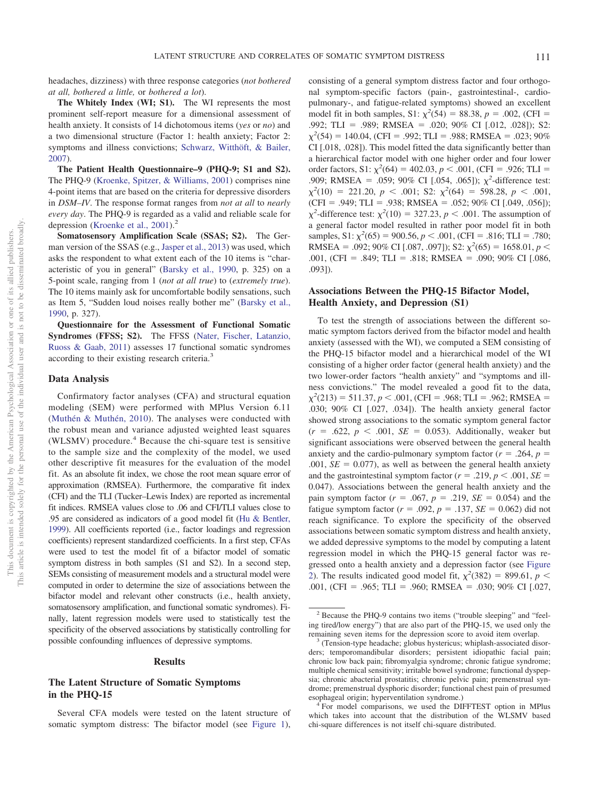headaches, dizziness) with three response categories (*not bothered at all, bothered a little,* or *bothered a lot*).

**The Whitely Index (WI; S1).** The WI represents the most prominent self-report measure for a dimensional assessment of health anxiety. It consists of 14 dichotomous items (*yes* or *no*) and a two dimensional structure (Factor 1: health anxiety; Factor 2: symptoms and illness convictions; [Schwarz, Witthöft, & Bailer,](#page-6-5) [2007\)](#page-6-5).

**The Patient Health Questionnaire–9 (PHQ-9; S1 and S2).** The PHQ-9 [\(Kroenke, Spitzer, & Williams, 2001\)](#page-5-8) comprises nine 4-point items that are based on the criteria for depressive disorders in *DSM–IV*. The response format ranges from *not at all* to *nearly every day*. The PHQ-9 is regarded as a valid and reliable scale for depression [\(Kroenke et al., 2001\)](#page-5-8).<sup>2</sup>

**Somatosensory Amplification Scale (SSAS; S2).** The German version of the SSAS (e.g., [Jasper et al., 2013\)](#page-5-9) was used, which asks the respondent to what extent each of the 10 items is "characteristic of you in general" [\(Barsky et al., 1990,](#page-5-7) p. 325) on a 5-point scale, ranging from 1 (*not at all true*) to (*extremely true*). The 10 items mainly ask for uncomfortable bodily sensations, such as Item 5, "Sudden loud noises really bother me" [\(Barsky et al.,](#page-5-7) [1990,](#page-5-7) p. 327).

**Questionnaire for the Assessment of Functional Somatic Syndromes (FFSS; S2).** The FFSS [\(Nater, Fischer, Latanzio,](#page-6-6) [Ruoss & Gaab, 2011\)](#page-6-6) assesses 17 functional somatic syndromes according to their existing research criteria.3

## **Data Analysis**

Confirmatory factor analyses (CFA) and structural equation modeling (SEM) were performed with MPlus Version 6.11 [\(Muthén & Muthén, 2010\)](#page-6-7). The analyses were conducted with the robust mean and variance adjusted weighted least squares (WLSMV) procedure. $4$  Because the chi-square test is sensitive to the sample size and the complexity of the model, we used other descriptive fit measures for the evaluation of the model fit. As an absolute fit index, we chose the root mean square error of approximation (RMSEA). Furthermore, the comparative fit index (CFI) and the TLI (Tucker–Lewis Index) are reported as incremental fit indices. RMSEA values close to .06 and CFI/TLI values close to .95 are considered as indicators of a good model fit [\(Hu & Bentler,](#page-5-10) [1999\)](#page-5-10). All coefficients reported (i.e., factor loadings and regression coefficients) represent standardized coefficients. In a first step, CFAs were used to test the model fit of a bifactor model of somatic symptom distress in both samples (S1 and S2). In a second step, SEMs consisting of measurement models and a structural model were computed in order to determine the size of associations between the bifactor model and relevant other constructs (i.e., health anxiety, somatosensory amplification, and functional somatic syndromes). Finally, latent regression models were used to statistically test the specificity of the observed associations by statistically controlling for possible confounding influences of depressive symptoms.

### **Results**

# **The Latent Structure of Somatic Symptoms in the PHQ-15**

Several CFA models were tested on the latent structure of somatic symptom distress: The bifactor model (see [Figure 1\)](#page-3-0),

consisting of a general symptom distress factor and four orthogonal symptom-specific factors (pain-, gastrointestinal-, cardiopulmonary-, and fatigue-related symptoms) showed an excellent model fit in both samples, S1:  $\chi^2(54) = 88.38$ ,  $p = .002$ , (CFI = .992; TLI = .989; RMSEA = .020; 90% CI [.012, .028]); S2:  $\chi^2$ (54) = 140.04, (CFI = .992; TLI = .988; RMSEA = .023; 90% CI [.018, .028]). This model fitted the data significantly better than a hierarchical factor model with one higher order and four lower order factors, S1:  $\chi^2(64) = 402.03$ ,  $p < .001$ , (CFI = .926; TLI = .909; RMSEA = .059; 90% CI [.054, .065]);  $\chi^2$ -difference test:  $\chi^2(10) = 221.20, p < .001;$  S2:  $\chi^2(64) = 598.28, p < .001,$  $(CFI = .949; TLI = .938; RMSEA = .052; 90% CI [.049, .056]);$  $\chi^2$ -difference test:  $\chi^2(10) = 327.23$ ,  $p < .001$ . The assumption of a general factor model resulted in rather poor model fit in both samples, S1:  $\chi^2$ (65) = 900.56, *p* < .001, (CFI = .816; TLI = .780; RMSEA = .092; 90% CI [.087, .097]); S2:  $\chi^2(65) = 1658.01, p <$ .001, (CFI = .849; TLI = .818; RMSEA = .090; 90% CI [.086, .093]).

# **Associations Between the PHQ-15 Bifactor Model, Health Anxiety, and Depression (S1)**

To test the strength of associations between the different somatic symptom factors derived from the bifactor model and health anxiety (assessed with the WI), we computed a SEM consisting of the PHQ-15 bifactor model and a hierarchical model of the WI consisting of a higher order factor (general health anxiety) and the two lower-order factors "health anxiety" and "symptoms and illness convictions." The model revealed a good fit to the data,  $\chi^2(213) = 511.37, p < .001, (CFI = .968; TLI = .962; RMSEA =$ .030; 90% CI [.027, .034]). The health anxiety general factor showed strong associations to the somatic symptom general factor  $(r = .622, p < .001, SE = 0.053)$ . Additionally, weaker but significant associations were observed between the general health anxiety and the cardio-pulmonary symptom factor  $(r = .264, p = .264)$  $.001, SE = 0.077$ , as well as between the general health anxiety and the gastrointestinal symptom factor ( $r = .219$ ,  $p < .001$ ,  $SE =$ 0.047). Associations between the general health anxiety and the pain symptom factor ( $r = .067$ ,  $p = .219$ ,  $SE = 0.054$ ) and the fatigue symptom factor ( $r = .092$ ,  $p = .137$ ,  $SE = 0.062$ ) did not reach significance. To explore the specificity of the observed associations between somatic symptom distress and health anxiety, we added depressive symptoms to the model by computing a latent regression model in which the PHQ-15 general factor was regressed onto a health anxiety and a depression factor (see [Figure](#page-4-0) [2\)](#page-4-0). The results indicated good model fit,  $\chi^2(382) = 899.61$ ,  $p <$ .001, (CFI = .965; TLI = .960; RMSEA = .030; 90% CI [.027,

<sup>2</sup> Because the PHQ-9 contains two items ("trouble sleeping" and "feeling tired/low energy") that are also part of the PHQ-15, we used only the remaining seven items for the depression score to avoid item overlap.<br><sup>3</sup> (Tension-type headache; globus hystericus; whiplash-associated disor-

ders; temporomandibular disorders; persistent idiopathic facial pain; chronic low back pain; fibromyalgia syndrome; chronic fatigue syndrome; multiple chemical sensitivity; irritable bowel syndrome; functional dyspepsia; chronic abacterial prostatitis; chronic pelvic pain; premenstrual syndrome; premenstrual dysphoric disorder; functional chest pain of presumed

esophageal origin; hyperventilation syndrome.) <sup>4</sup> For model comparisons, we used the DIFFTEST option in MPlus which takes into account that the distribution of the WLSMV based chi-square differences is not itself chi-square distributed.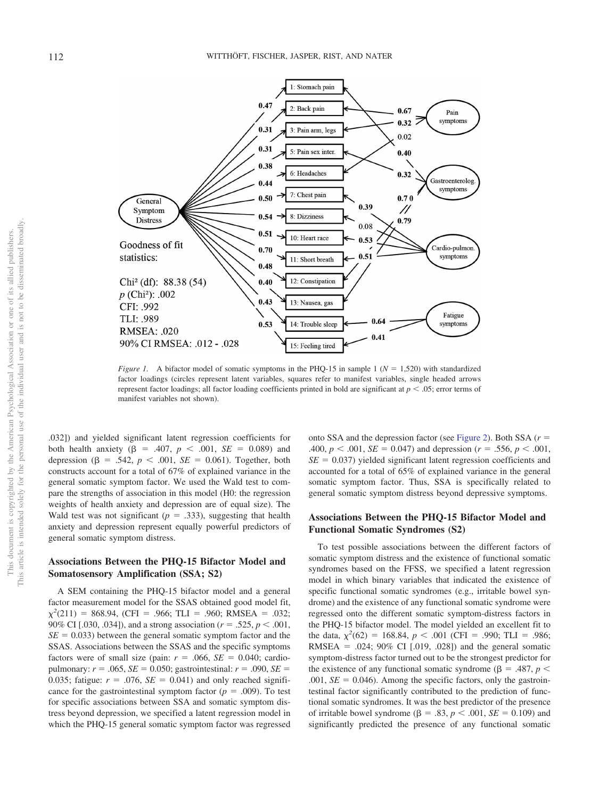

<span id="page-3-0"></span>*Figure 1.* A bifactor model of somatic symptoms in the PHQ-15 in sample 1 ( $N = 1,520$ ) with standardized factor loadings (circles represent latent variables, squares refer to manifest variables, single headed arrows represent factor loadings; all factor loading coefficients printed in bold are significant at  $p < .05$ ; error terms of manifest variables not shown).

.032]) and yielded significant latent regression coefficients for both health anxiety ( $\beta = .407, p < .001, SE = 0.089$ ) and depression ( $\beta = .542$ ,  $p < .001$ ,  $SE = 0.061$ ). Together, both constructs account for a total of 67% of explained variance in the general somatic symptom factor. We used the Wald test to compare the strengths of association in this model (H0: the regression weights of health anxiety and depression are of equal size). The Wald test was not significant ( $p = .333$ ), suggesting that health anxiety and depression represent equally powerful predictors of general somatic symptom distress.

# **Associations Between the PHQ-15 Bifactor Model and Somatosensory Amplification (SSA; S2)**

A SEM containing the PHQ-15 bifactor model and a general factor measurement model for the SSAS obtained good model fit,  $\chi^2(211) = 868.94$ , (CFI = .966; TLI = .960; RMSEA = .032; 90% CI [.030, .034]), and a strong association ( $r = .525$ ,  $p < .001$ ,  $SE = 0.033$ ) between the general somatic symptom factor and the SSAS. Associations between the SSAS and the specific symptoms factors were of small size (pain:  $r = .066$ ,  $SE = 0.040$ ; cardiopulmonary:  $r = .065$ ,  $SE = 0.050$ ; gastrointestinal:  $r = .090$ ,  $SE =$ 0.035; fatigue:  $r = .076$ ,  $SE = 0.041$ ) and only reached significance for the gastrointestinal symptom factor  $(p = .009)$ . To test for specific associations between SSA and somatic symptom distress beyond depression, we specified a latent regression model in which the PHQ-15 general somatic symptom factor was regressed

onto SSA and the depression factor (see [Figure 2\)](#page-4-0). Both SSA  $(r =$ .400,  $p < .001$ ,  $SE = 0.047$ ) and depression ( $r = .556$ ,  $p < .001$ ,  $SE = 0.037$ ) yielded significant latent regression coefficients and accounted for a total of 65% of explained variance in the general somatic symptom factor. Thus, SSA is specifically related to general somatic symptom distress beyond depressive symptoms.

# **Associations Between the PHQ-15 Bifactor Model and Functional Somatic Syndromes (S2)**

To test possible associations between the different factors of somatic symptom distress and the existence of functional somatic syndromes based on the FFSS, we specified a latent regression model in which binary variables that indicated the existence of specific functional somatic syndromes (e.g., irritable bowel syndrome) and the existence of any functional somatic syndrome were regressed onto the different somatic symptom-distress factors in the PHQ-15 bifactor model. The model yielded an excellent fit to the data,  $\chi^2(62) = 168.84$ ,  $p < .001$  (CFI = .990; TLI = .986; RMSEA - .024; 90% CI [.019, .028]) and the general somatic symptom-distress factor turned out to be the strongest predictor for the existence of any functional somatic syndrome ( $\beta = .487$ ,  $p <$  $.001$ ,  $SE = 0.046$ ). Among the specific factors, only the gastrointestinal factor significantly contributed to the prediction of functional somatic syndromes. It was the best predictor of the presence of irritable bowel syndrome ( $\beta = .83$ ,  $p < .001$ ,  $SE = 0.109$ ) and significantly predicted the presence of any functional somatic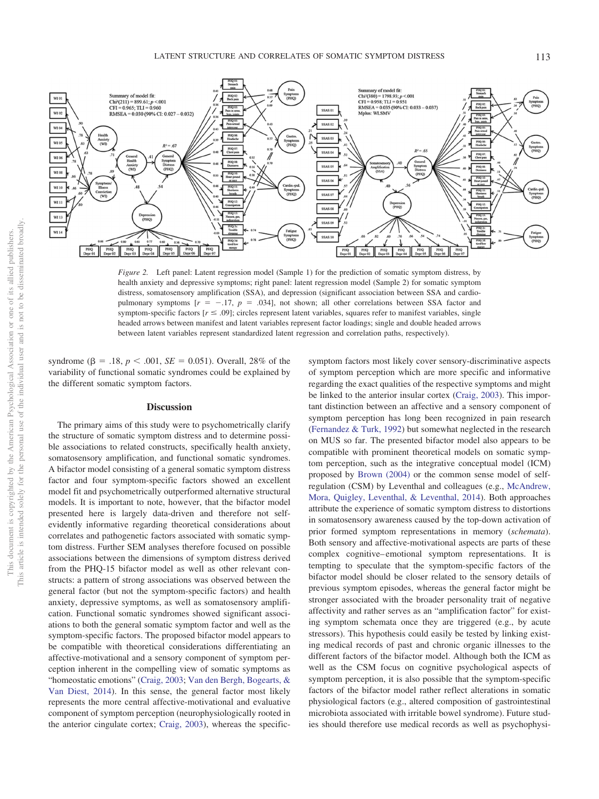

<span id="page-4-0"></span>*Figure 2.* Left panel: Latent regression model (Sample 1) for the prediction of somatic symptom distress, by health anxiety and depressive symptoms; right panel: latent regression model (Sample 2) for somatic symptom distress, somatosensory amplification (SSA), and depression (significant association between SSA and cardiopulmonary symptoms  $[r = -.17, p = .034]$ , not shown; all other correlations between SSA factor and symptom-specific factors  $[r \leq .09]$ ; circles represent latent variables, squares refer to manifest variables, single headed arrows between manifest and latent variables represent factor loadings; single and double headed arrows between latent variables represent standardized latent regression and correlation paths, respectively).

syndrome ( $\beta = .18$ ,  $p < .001$ ,  $SE = 0.051$ ). Overall, 28% of the variability of functional somatic syndromes could be explained by the different somatic symptom factors.

## **Discussion**

The primary aims of this study were to psychometrically clarify the structure of somatic symptom distress and to determine possible associations to related constructs, specifically health anxiety, somatosensory amplification, and functional somatic syndromes. A bifactor model consisting of a general somatic symptom distress factor and four symptom-specific factors showed an excellent model fit and psychometrically outperformed alternative structural models. It is important to note, however, that the bifactor model presented here is largely data-driven and therefore not selfevidently informative regarding theoretical considerations about correlates and pathogenetic factors associated with somatic symptom distress. Further SEM analyses therefore focused on possible associations between the dimensions of symptom distress derived from the PHQ-15 bifactor model as well as other relevant constructs: a pattern of strong associations was observed between the general factor (but not the symptom-specific factors) and health anxiety, depressive symptoms, as well as somatosensory amplification. Functional somatic syndromes showed significant associations to both the general somatic symptom factor and well as the symptom-specific factors. The proposed bifactor model appears to be compatible with theoretical considerations differentiating an affective-motivational and a sensory component of symptom perception inherent in the compelling view of somatic symptoms as "homeostatic emotions" [\(Craig, 2003;](#page-5-11) [Van den Bergh, Bogearts, &](#page-6-8) [Van Diest, 2014\)](#page-6-8). In this sense, the general factor most likely represents the more central affective-motivational and evaluative component of symptom perception (neurophysiologically rooted in the anterior cingulate cortex; [Craig, 2003\)](#page-5-11), whereas the specific-

symptom factors most likely cover sensory-discriminative aspects of symptom perception which are more specific and informative regarding the exact qualities of the respective symptoms and might be linked to the anterior insular cortex [\(Craig, 2003\)](#page-5-11). This important distinction between an affective and a sensory component of symptom perception has long been recognized in pain research [\(Fernandez & Turk, 1992\)](#page-5-12) but somewhat neglected in the research on MUS so far. The presented bifactor model also appears to be compatible with prominent theoretical models on somatic symptom perception, such as the integrative conceptual model (ICM) proposed by [Brown \(2004\)](#page-5-6) or the common sense model of selfregulation (CSM) by Leventhal and colleagues (e.g., [McAndrew,](#page-6-9) [Mora, Quigley, Leventhal, & Leventhal, 2014\)](#page-6-9). Both approaches attribute the experience of somatic symptom distress to distortions in somatosensory awareness caused by the top-down activation of prior formed symptom representations in memory (*schemata*). Both sensory and affective-motivational aspects are parts of these complex cognitive– emotional symptom representations. It is tempting to speculate that the symptom-specific factors of the bifactor model should be closer related to the sensory details of previous symptom episodes, whereas the general factor might be stronger associated with the broader personality trait of negative affectivity and rather serves as an "amplification factor" for existing symptom schemata once they are triggered (e.g., by acute stressors). This hypothesis could easily be tested by linking existing medical records of past and chronic organic illnesses to the different factors of the bifactor model. Although both the ICM as well as the CSM focus on cognitive psychological aspects of symptom perception, it is also possible that the symptom-specific factors of the bifactor model rather reflect alterations in somatic physiological factors (e.g., altered composition of gastrointestinal microbiota associated with irritable bowel syndrome). Future studies should therefore use medical records as well as psychophysi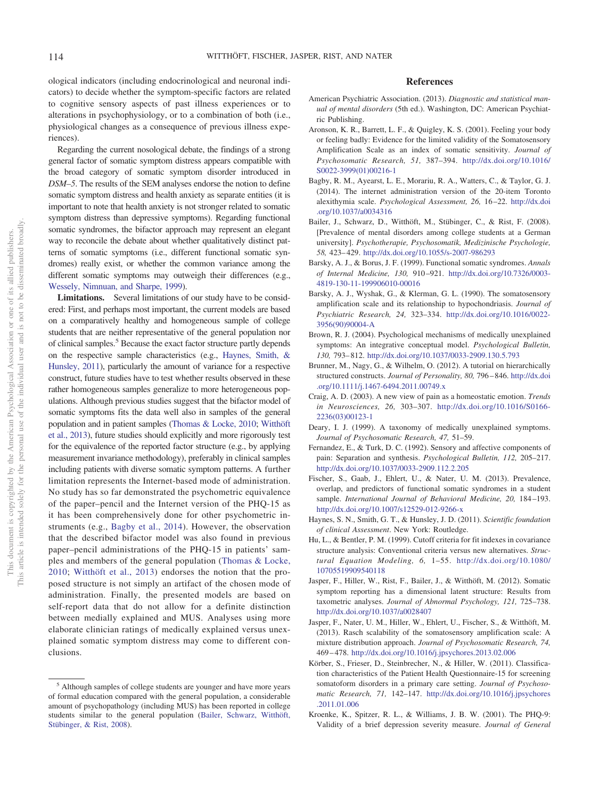ological indicators (including endocrinological and neuronal indicators) to decide whether the symptom-specific factors are related to cognitive sensory aspects of past illness experiences or to alterations in psychophysiology, or to a combination of both (i.e., physiological changes as a consequence of previous illness experiences).

Regarding the current nosological debate, the findings of a strong general factor of somatic symptom distress appears compatible with the broad category of somatic symptom disorder introduced in *DSM–5*. The results of the SEM analyses endorse the notion to define somatic symptom distress and health anxiety as separate entities (it is important to note that health anxiety is not stronger related to somatic symptom distress than depressive symptoms). Regarding functional somatic syndromes, the bifactor approach may represent an elegant way to reconcile the debate about whether qualitatively distinct patterns of somatic symptoms (i.e., different functional somatic syndromes) really exist, or whether the common variance among the different somatic symptoms may outweigh their differences (e.g., [Wessely, Nimnuan, and Sharpe, 1999\)](#page-6-0).

Limitations. Several limitations of our study have to be considered: First, and perhaps most important, the current models are based on a comparatively healthy and homogeneous sample of college students that are neither representative of the general population nor of clinical samples.<sup>5</sup> Because the exact factor structure partly depends on the respective sample characteristics (e.g., [Haynes, Smith, &](#page-5-13) [Hunsley, 2011\)](#page-5-13), particularly the amount of variance for a respective construct, future studies have to test whether results observed in these rather homogeneous samples generalize to more heterogeneous populations. Although previous studies suggest that the bifactor model of somatic symptoms fits the data well also in samples of the general population and in patient samples [\(Thomas & Locke, 2010;](#page-6-1) [Witthöft](#page-6-2) [et al., 2013\)](#page-6-2), future studies should explicitly and more rigorously test for the equivalence of the reported factor structure (e.g., by applying measurement invariance methodology), preferably in clinical samples including patients with diverse somatic symptom patterns. A further limitation represents the Internet-based mode of administration. No study has so far demonstrated the psychometric equivalence of the paper–pencil and the Internet version of the PHQ-15 as it has been comprehensively done for other psychometric instruments (e.g., [Bagby et al., 2014\)](#page-5-14). However, the observation that the described bifactor model was also found in previous paper–pencil administrations of the PHQ-15 in patients' samples and members of the general population [\(Thomas & Locke,](#page-6-1) [2010;](#page-6-1) [Witthöft et al., 2013\)](#page-6-2) endorses the notion that the proposed structure is not simply an artifact of the chosen mode of administration. Finally, the presented models are based on self-report data that do not allow for a definite distinction between medially explained and MUS. Analyses using more elaborate clinician ratings of medically explained versus unexplained somatic symptom distress may come to different conclusions.

# **References**

- <span id="page-5-4"></span>American Psychiatric Association. (2013). *Diagnostic and statistical manual of mental disorders* (5th ed.). Washington, DC: American Psychiatric Publishing.
- Aronson, K. R., Barrett, L. F., & Quigley, K. S. (2001). Feeling your body or feeling badly: Evidence for the limited validity of the Somatosensory Amplification Scale as an index of somatic sensitivity. *Journal of Psychosomatic Research, 51,* 387–394. [http://dx.doi.org/10.1016/](http://dx.doi.org/10.1016/S0022-3999%2801%2900216-1) [S0022-3999\(01\)00216-1](http://dx.doi.org/10.1016/S0022-3999%2801%2900216-1)
- <span id="page-5-14"></span>Bagby, R. M., Ayearst, L. E., Morariu, R. A., Watters, C., & Taylor, G. J. (2014). The internet administration version of the 20-item Toronto alexithymia scale. *Psychological Assessment, 26,* 16 –22. [http://dx.doi](http://dx.doi.org/10.1037/a0034316) [.org/10.1037/a0034316](http://dx.doi.org/10.1037/a0034316)
- <span id="page-5-15"></span>Bailer, J., Schwarz, D., Witthöft, M., Stübinger, C., & Rist, F. (2008). [Prevalence of mental disorders among college students at a German university]. *Psychotherapie, Psychosomatik, Medizinische Psychologie, 58,* 423– 429. <http://dx.doi.org/10.1055/s-2007-986293>
- Barsky, A. J., & Borus, J. F. (1999). Functional somatic syndromes. *Annals of Internal Medicine, 130,* 910 –921. [http://dx.doi.org/10.7326/0003-](http://dx.doi.org/10.7326/0003-4819-130-11-199906010-00016) [4819-130-11-199906010-00016](http://dx.doi.org/10.7326/0003-4819-130-11-199906010-00016)
- <span id="page-5-7"></span>Barsky, A. J., Wyshak, G., & Klerman, G. L. (1990). The somatosensory amplification scale and its relationship to hypochondriasis. *Journal of Psychiatric Research, 24,* 323–334. [http://dx.doi.org/10.1016/0022-](http://dx.doi.org/10.1016/0022-3956%2890%2990004-A) [3956\(90\)90004-A](http://dx.doi.org/10.1016/0022-3956%2890%2990004-A)
- <span id="page-5-6"></span>Brown, R. J. (2004). Psychological mechanisms of medically unexplained symptoms: An integrative conceptual model. *Psychological Bulletin, 130,* 793– 812. <http://dx.doi.org/10.1037/0033-2909.130.5.793>
- <span id="page-5-5"></span>Brunner, M., Nagy, G., & Wilhelm, O. (2012). A tutorial on hierarchically structured constructs. *Journal of Personality, 80,* 796 – 846. [http://dx.doi](http://dx.doi.org/10.1111/j.1467-6494.2011.00749.x) [.org/10.1111/j.1467-6494.2011.00749.x](http://dx.doi.org/10.1111/j.1467-6494.2011.00749.x)
- <span id="page-5-11"></span>Craig, A. D. (2003). A new view of pain as a homeostatic emotion. *Trends in Neurosciences, 26,* 303–307. [http://dx.doi.org/10.1016/S0166-](http://dx.doi.org/10.1016/S0166-2236%2803%2900123-1) [2236\(03\)00123-1](http://dx.doi.org/10.1016/S0166-2236%2803%2900123-1)
- <span id="page-5-2"></span>Deary, I. J. (1999). A taxonomy of medically unexplained symptoms. *Journal of Psychosomatic Research, 47,* 51–59.
- <span id="page-5-12"></span>Fernandez, E., & Turk, D. C. (1992). Sensory and affective components of pain: Separation and synthesis. *Psychological Bulletin, 112,* 205–217. <http://dx.doi.org/10.1037/0033-2909.112.2.205>
- <span id="page-5-1"></span>Fischer, S., Gaab, J., Ehlert, U., & Nater, U. M. (2013). Prevalence, overlap, and predictors of functional somatic syndromes in a student sample. *International Journal of Behavioral Medicine, 20,* 184 –193. <http://dx.doi.org/10.1007/s12529-012-9266-x>
- <span id="page-5-13"></span>Haynes, S. N., Smith, G. T., & Hunsley, J. D. (2011). *Scientific foundation of clinical Assessment*. New York: Routledge.
- <span id="page-5-10"></span>Hu, L., & Bentler, P. M. (1999). Cutoff criteria for fit indexes in covariance structure analysis: Conventional criteria versus new alternatives. *Structural Equation Modeling, 6,* 1–55. [http://dx.doi.org/10.1080/](http://dx.doi.org/10.1080/10705519909540118) [10705519909540118](http://dx.doi.org/10.1080/10705519909540118)
- <span id="page-5-3"></span>Jasper, F., Hiller, W., Rist, F., Bailer, J., & Witthöft, M. (2012). Somatic symptom reporting has a dimensional latent structure: Results from taxometric analyses. *Journal of Abnormal Psychology, 121,* 725–738. <http://dx.doi.org/10.1037/a0028407>
- <span id="page-5-9"></span>Jasper, F., Nater, U. M., Hiller, W., Ehlert, U., Fischer, S., & Witthöft, M. (2013). Rasch scalability of the somatosensory amplification scale: A mixture distribution approach. *Journal of Psychosomatic Research, 74,* 469 – 478. <http://dx.doi.org/10.1016/j.jpsychores.2013.02.006>
- <span id="page-5-0"></span>Körber, S., Frieser, D., Steinbrecher, N., & Hiller, W. (2011). Classification characteristics of the Patient Health Questionnaire-15 for screening somatoform disorders in a primary care setting. *Journal of Psychosomatic Research, 71,* 142–147. [http://dx.doi.org/10.1016/j.jpsychores](http://dx.doi.org/10.1016/j.jpsychores.2011.01.006) [.2011.01.006](http://dx.doi.org/10.1016/j.jpsychores.2011.01.006)
- <span id="page-5-8"></span>Kroenke, K., Spitzer, R. L., & Williams, J. B. W. (2001). The PHQ-9: Validity of a brief depression severity measure. *Journal of General*

<sup>5</sup> Although samples of college students are younger and have more years of formal education compared with the general population, a considerable amount of psychopathology (including MUS) has been reported in college students similar to the general population [\(Bailer, Schwarz, Witthöft,](#page-5-15) [Stübinger, & Rist, 2008\)](#page-5-15).